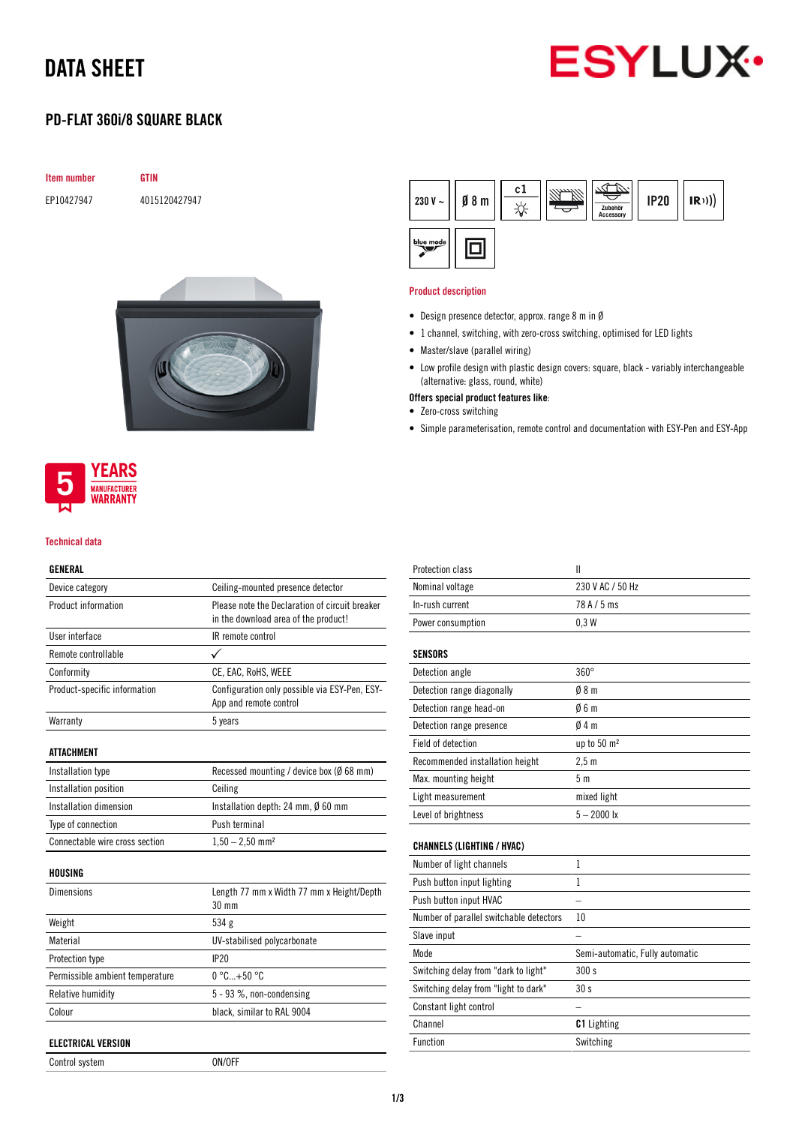## DATA SHEET



## PD-FLAT 360i/8 SQUARE BLACK

| <b>Item number</b> |  |
|--------------------|--|
|                    |  |

EP10427947 4015120427947

**GTIN** 





#### Technical data

### GENERAL

| Device category                 | Ceiling-mounted presence detector                                                      |  |
|---------------------------------|----------------------------------------------------------------------------------------|--|
| Product information             | Please note the Declaration of circuit breaker<br>in the download area of the product! |  |
| User interface                  | IR remote control                                                                      |  |
| Remote controllable             |                                                                                        |  |
| Conformity                      | CE, EAC, RoHS, WEEE                                                                    |  |
| Product-specific information    | Configuration only possible via ESY-Pen, ESY-<br>App and remote control                |  |
| Warranty                        | 5 years                                                                                |  |
| <b>ATTACHMENT</b>               |                                                                                        |  |
| Installation type               | Recessed mounting / device box (Ø 68 mm)                                               |  |
| Installation position           | Ceiling                                                                                |  |
| Installation dimension          | Installation depth: 24 mm, Ø 60 mm                                                     |  |
| Type of connection              | Push terminal                                                                          |  |
| Connectable wire cross section  | $1,50 - 2,50$ mm <sup>2</sup>                                                          |  |
| HOUSING                         |                                                                                        |  |
| <b>Dimensions</b>               | Length 77 mm x Width 77 mm x Height/Depth<br>30 mm                                     |  |
| Weight                          | 534 g                                                                                  |  |
| Material                        | UV-stabilised polycarbonate                                                            |  |
| Protection type                 | IP20                                                                                   |  |
| Permissible ambient temperature | $0^{\circ}$ C +50 $^{\circ}$ C                                                         |  |
| Relative humidity               | 5 - 93 %, non-condensing                                                               |  |
| Colour                          | black, similar to RAL 9004                                                             |  |
| <b>ELECTRICAL VERSION</b>       |                                                                                        |  |
| Control system                  | ON/OFF                                                                                 |  |



#### Product description

- Design presence detector, approx. range 8 m in Ø
- 1 channel, switching, with zero-cross switching, optimised for LED lights
- Master/slave (parallel wiring)
- Low profile design with plastic design covers: square, black variably interchangeable (alternative: glass, round, white)
- Offers special product features like:
- Zero-cross switching
- Simple parameterisation, remote control and documentation with ESY-Pen and ESY-App

| Protection class                        | $\mathbf{I}$                    |
|-----------------------------------------|---------------------------------|
| Nominal voltage                         | 230 V AC / 50 Hz                |
| In-rush current                         | 78 A / 5 ms                     |
| Power consumption                       | 0.3W                            |
| <b>SENSORS</b>                          |                                 |
| Detection angle                         | $360^\circ$                     |
| Detection range diagonally              | 08 <sub>m</sub>                 |
| Detection range head-on                 | 06m                             |
| Detection range presence                | 04m                             |
| Field of detection                      | up to 50 m <sup>2</sup>         |
| Recommended installation height         | 2.5 <sub>m</sub>                |
| Max. mounting height                    | 5 <sub>m</sub>                  |
| Light measurement                       | mixed light                     |
| Level of brightness                     | $5 - 2000$ lx                   |
| <b>CHANNELS (LIGHTING / HVAC)</b>       |                                 |
| Number of light channels                | 1                               |
| Push button input lighting              | 1                               |
| Push button input HVAC                  |                                 |
| Number of parallel switchable detectors | 10                              |
| Slave input                             |                                 |
| Mode                                    | Semi-automatic, Fully automatic |
| Switching delay from "dark to light"    | 300 s                           |
| Switching delay from "light to dark"    | 30s                             |
| Constant light control                  |                                 |
| Channel                                 | <b>C1</b> Lighting              |
| Function                                | Switching                       |
|                                         |                                 |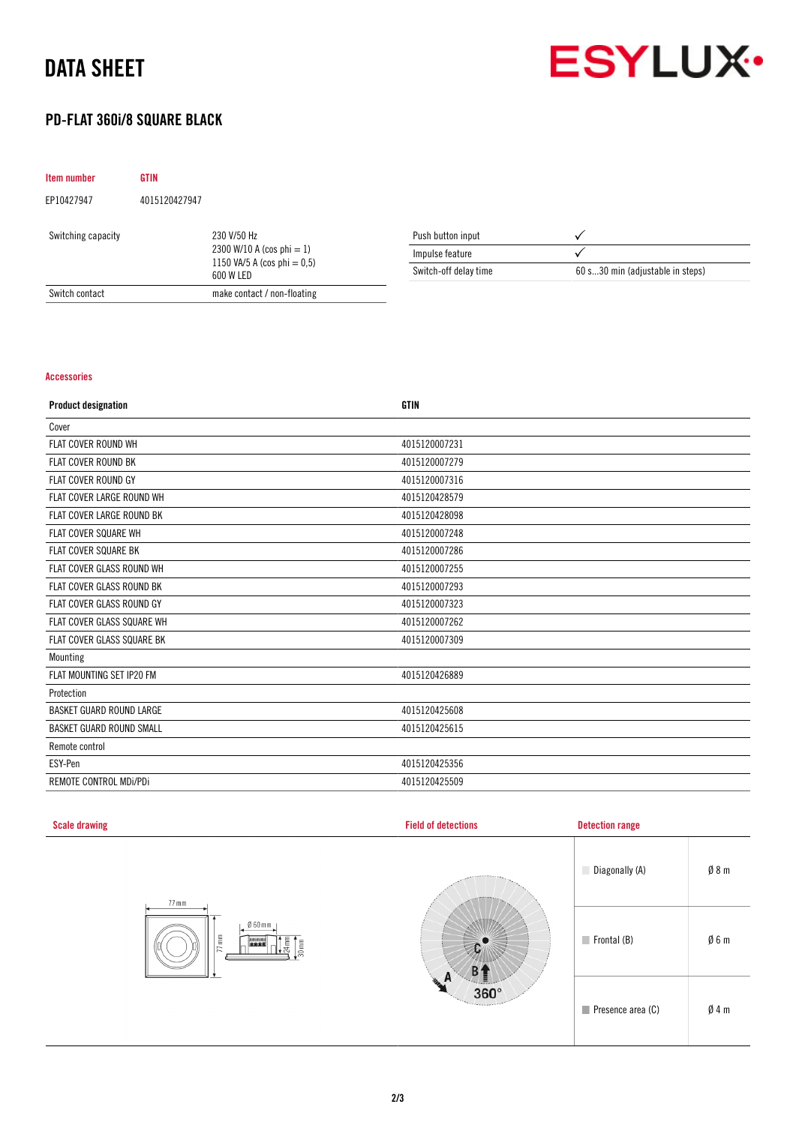## DATA SHEET



## PD-FLAT 360i/8 SQUARE BLACK

| <b>Item number</b> | <b>GTIN</b>   |                                                                                            |                       |                                  |
|--------------------|---------------|--------------------------------------------------------------------------------------------|-----------------------|----------------------------------|
| EP10427947         | 4015120427947 |                                                                                            |                       |                                  |
| Switching capacity |               | 230 V/50 Hz<br>2300 W/10 A (cos phi $= 1$ )<br>1150 VA/5 A (cos phi = $0.5$ )<br>600 W LED | Push button input     |                                  |
|                    |               |                                                                                            | Impulse feature       |                                  |
|                    |               |                                                                                            | Switch-off delay time | 60 s30 min (adjustable in steps) |
| Switch contact     |               | make contact / non-floating                                                                |                       |                                  |

#### Accessories

| <b>Product designation</b>       | <b>GTIN</b>   |
|----------------------------------|---------------|
| Cover                            |               |
| FLAT COVER ROUND WH              | 4015120007231 |
| <b>FLAT COVER ROUND BK</b>       | 4015120007279 |
| <b>FLAT COVER ROUND GY</b>       | 4015120007316 |
| FLAT COVER LARGE ROUND WH        | 4015120428579 |
| <b>FLAT COVER LARGE ROUND BK</b> | 4015120428098 |
| FLAT COVER SQUARE WH             | 4015120007248 |
| FLAT COVER SQUARE BK             | 4015120007286 |
| FLAT COVER GLASS ROUND WH        | 4015120007255 |
| <b>FLAT COVER GLASS ROUND BK</b> | 4015120007293 |
| FLAT COVER GLASS ROUND GY        | 4015120007323 |
| FLAT COVER GLASS SQUARE WH       | 4015120007262 |
| FLAT COVER GLASS SQUARE BK       | 4015120007309 |
| Mounting                         |               |
| FLAT MOUNTING SET IP20 FM        | 4015120426889 |
| Protection                       |               |
| BASKET GUARD ROUND LARGE         | 4015120425608 |
| <b>BASKET GUARD ROUND SMALL</b>  | 4015120425615 |
| Remote control                   |               |
| ESY-Pen                          | 4015120425356 |
| REMOTE CONTROL MDI/PDI           | 4015120425509 |